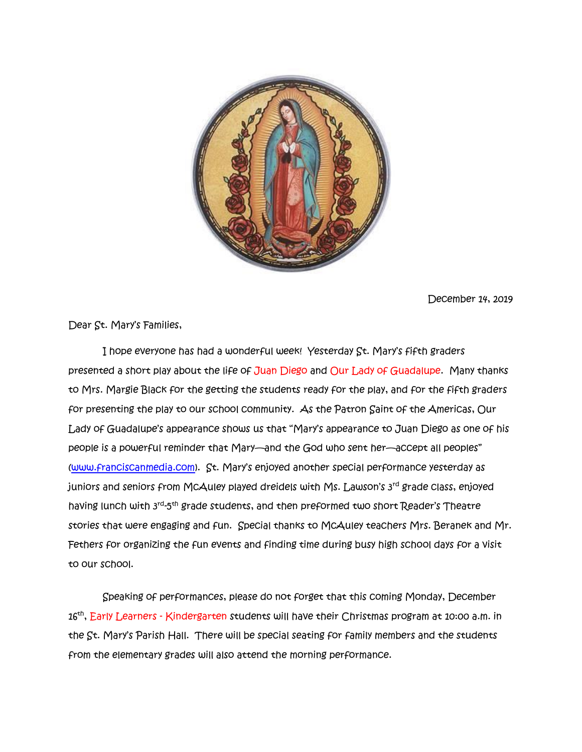

December 14, 2019

Dear St. Mary's Families,

 I hope everyone has had a wonderful week! Yesterday St. Mary's fifth graders presented a short play about the life of Juan Diego and Our Lady of Guadalupe. Many thanks to Mrs. Margie Black for the getting the students ready for the play, and for the fifth graders for presenting the play to our school community. As the Patron Saint of the Americas, Our Lady of Guadalupe's appearance shows us that "Mary's appearance to Juan Diego as one of his people is a powerful reminder that Mary—and the God who sent her—accept all peoples" [\(www.franciscanmedia.com\)](http://www.franciscanmedia.com/). St. Mary's enjoyed another special performance yesterday as juniors and seniors from McAuley played dreidels with Ms. Lawson's 3rd grade class, enjoyed having lunch with 3<sup>rd</sup>-5<sup>th</sup> grade students, and then preformed two short Reader's Theatre stories that were engaging and fun. Special thanks to McAuley teachers Mrs. Beranek and Mr. Fethers for organizing the fun events and finding time during busy high school days for a visit to our school.

Speaking of performances, please do not forget that this coming Monday, December 16<sup>th</sup>, <mark>Early Learners - Kindergarten st</mark>udents will have their Christmas program at 10:00 a.m. in the St. Mary's Parish Hall. There will be special seating for family members and the students from the elementary grades will also attend the morning performance.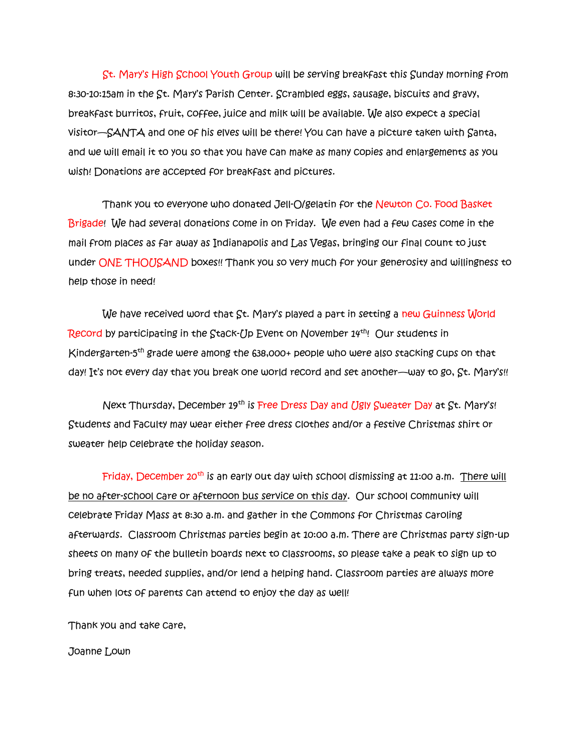St. Mary's High School Youth Group will be serving breakfast this Sunday morning from 8:30-10:15am in the St. Mary's Parish Center. Scrambled eggs, sausage, biscuits and gravy, breakfast burritos, fruit, coffee, juice and milk will be available. We also expect a special visitor—SANTA and one of his elves will be there! You can have a picture taken with Santa, and we will email it to you so that you have can make as many copies and enlargements as you wish! Donations are accepted for breakfast and pictures.

Thank you to everyone who donated Jell-O/gelatin for the Newton Co. Food Basket Brigade! We had several donations come in on Friday. We even had a few cases come in the mail from places as far away as Indianapolis and Las Vegas, bringing our final count to just under ONE THOUSAND boxes!! Thank you so very much for your generosity and willingness to help those in need!

We have received word that St. Mary's played a part in setting a new Guinness World Record by participating in the Stack-Up Event on November  $14^{th}$ ! Our students in Kindergarten-5 th grade were among the 638,000+ people who were also stacking cups on that day! It's not every day that you break one world record and set another—way to go, St. Mary's!!

Next Thursday, December 19<sup>th</sup> is Free Dress Day and Ugly Sweater Day at St. Mary's! Students and Faculty may wear either free dress clothes and/or a festive Christmas shirt or sweater help celebrate the holiday season.

Friday, December 20<sup>th</sup> is an early out day with school dismissing at 11:00 a.m. There will be no after-school care or afternoon bus service on this day. Our school community will celebrate Friday Mass at 8:30 a.m. and gather in the Commons for Christmas caroling afterwards. Classroom Christmas parties begin at 10:00 a.m. There are Christmas party sign-up sheets on many of the bulletin boards next to classrooms, so please take a peak to sign up to bring treats, needed supplies, and/or lend a helping hand. Classroom parties are always more fun when lots of parents can attend to enjoy the day as well!

Thank you and take care,

Joanne Lown